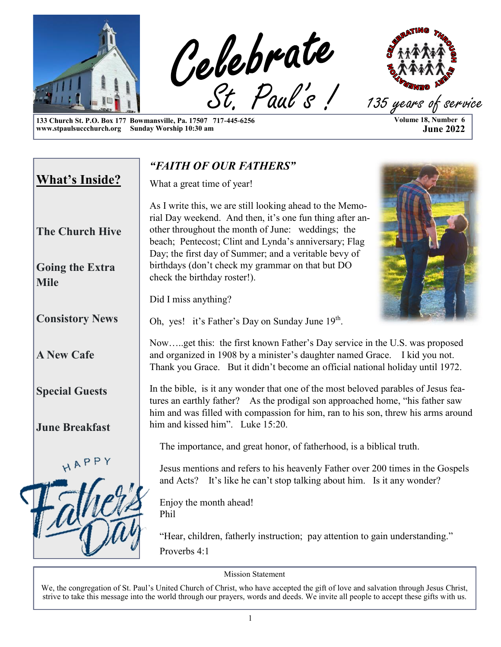

**133 Church St. P.O. Box 177 Bowmansville, Pa. 17507 717-445-6256 www.stpaulsuccchurch.org Sunday Worship 10:30 am**

# **Volume 18, Number 6 June 2022**

*"FAITH OF OUR FATHERS"* **What's Inside?** What a great time of year! As I write this, we are still looking ahead to the Memorial Day weekend. And then, it's one fun thing after another throughout the month of June: weddings; the **The Church Hive** beach; Pentecost; Clint and Lynda's anniversary; Flag Day; the first day of Summer; and a veritable bevy of birthdays (don't check my grammar on that but DO **Going the Extra**  check the birthday roster!). **Mile** Did I miss anything? **Consistory News** Oh, yes! it's Father's Day on Sunday June 19<sup>th</sup>. Now…..get this: the first known Father's Day service in the U.S. was proposed **A New Cafe** and organized in 1908 by a minister's daughter named Grace. I kid you not. Thank you Grace. But it didn't become an official national holiday until 1972. In the bible, is it any wonder that one of the most beloved parables of Jesus fea-**Special Guests** tures an earthly father? As the prodigal son approached home, "his father saw him and was filled with compassion for him, ran to his son, threw his arms around him and kissed him". Luke 15:20. **June Breakfast** The importance, and great honor, of fatherhood, is a biblical truth. HAPP Jesus mentions and refers to his heavenly Father over 200 times in the Gospels and Acts? It's like he can't stop talking about him. Is it any wonder? Enjoy the month ahead! Phil "Hear, children, fatherly instruction; pay attention to gain understanding." Proverbs 4:1

Mission Statement

We, the congregation of St. Paul's United Church of Christ, who have accepted the gift of love and salvation through Jesus Christ, strive to take this message into the world through our prayers, words and deeds. We invite all people to accept these gifts with us.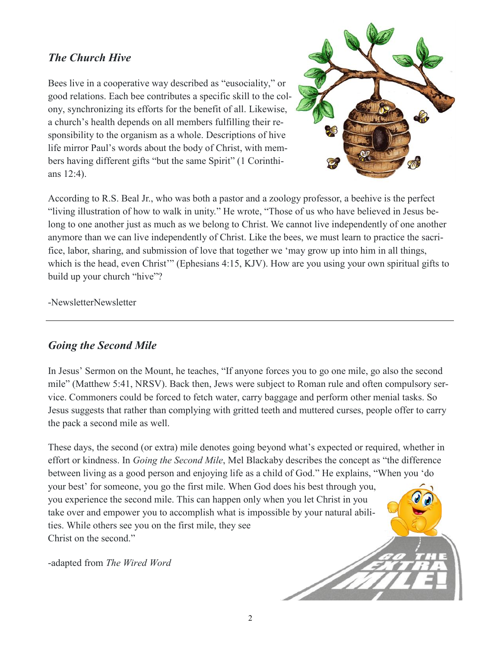#### *The Church Hive*

Bees live in a cooperative way described as "eusociality," or good relations. Each bee contributes a specific skill to the colony, synchronizing its efforts for the benefit of all. Likewise, a church's health depends on all members fulfilling their responsibility to the organism as a whole. Descriptions of hive life mirror Paul's words about the body of Christ, with members having different gifts "but the same Spirit" (1 Corinthians 12:4).



According to R.S. Beal Jr., who was both a pastor and a zoology professor, a beehive is the perfect "living illustration of how to walk in unity." He wrote, "Those of us who have believed in Jesus belong to one another just as much as we belong to Christ. We cannot live independently of one another anymore than we can live independently of Christ. Like the bees, we must learn to practice the sacrifice, labor, sharing, and submission of love that together we 'may grow up into him in all things, which is the head, even Christ<sup>\*\*</sup> (Ephesians 4:15, KJV). How are you using your own spiritual gifts to build up your church "hive"?

-NewsletterNewsletter

#### *Going the Second Mile*

In Jesus' Sermon on the Mount, he teaches, "If anyone forces you to go one mile, go also the second mile" (Matthew 5:41, NRSV). Back then, Jews were subject to Roman rule and often compulsory service. Commoners could be forced to fetch water, carry baggage and perform other menial tasks. So Jesus suggests that rather than complying with gritted teeth and muttered curses, people offer to carry the pack a second mile as well.

These days, the second (or extra) mile denotes going beyond what's expected or required, whether in effort or kindness. In *Going the Second Mile*, Mel Blackaby describes the concept as "the difference between living as a good person and enjoying life as a child of God." He explains, "When you 'do your best' for someone, you go the first mile. When God does his best through you, you experience the second mile. This can happen only when you let Christ in you take over and empower you to accomplish what is impossible by your natural abilities. While others see you on the first mile, they see Christ on the second."

-adapted from *The Wired Word*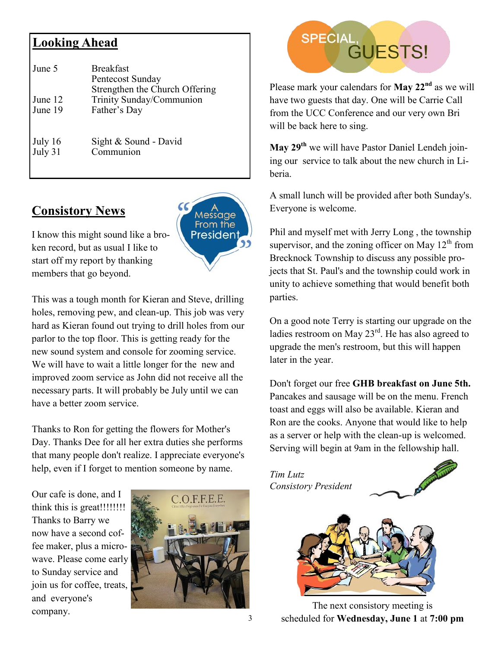# **Looking Ahead**

| June 5  | <b>Breakfast</b><br>Pentecost Sunday<br>Strengthen the Church Offering |
|---------|------------------------------------------------------------------------|
| June 12 | Trinity Sunday/Communion                                               |
| June 19 | Father's Day                                                           |
| July 16 | Sight & Sound - David                                                  |
| July 31 | Communion                                                              |

# **Consistory News**



I know this might sound like a broken record, but as usual I like to start off my report by thanking members that go beyond.

This was a tough month for Kieran and Steve, drilling holes, removing pew, and clean-up. This job was very hard as Kieran found out trying to drill holes from our parlor to the top floor. This is getting ready for the new sound system and console for zooming service. We will have to wait a little longer for the new and improved zoom service as John did not receive all the necessary parts. It will probably be July until we can have a better zoom service.

Thanks to Ron for getting the flowers for Mother's Day. Thanks Dee for all her extra duties she performs that many people don't realize. I appreciate everyone's help, even if I forget to mention someone by name.

Our cafe is done, and I think this is great!!!!!!!! Thanks to Barry we now have a second coffee maker, plus a microwave. Please come early to Sunday service and join us for coffee, treats, and everyone's company.



# SPECIAL, GUESTS!

Please mark your calendars for **May 22nd** as we will have two guests that day. One will be Carrie Call from the UCC Conference and our very own Bri will be back here to sing.

**May 29th** we will have Pastor Daniel Lendeh joining our service to talk about the new church in Liberia.

A small lunch will be provided after both Sunday's. Everyone is welcome.

Phil and myself met with Jerry Long , the township supervisor, and the zoning officer on May  $12<sup>th</sup>$  from Brecknock Township to discuss any possible projects that St. Paul's and the township could work in unity to achieve something that would benefit both parties.

On a good note Terry is starting our upgrade on the ladies restroom on May  $23<sup>rd</sup>$ . He has also agreed to upgrade the men's restroom, but this will happen later in the year.

Don't forget our free **GHB breakfast on June 5th.**  Pancakes and sausage will be on the menu. French toast and eggs will also be available. Kieran and Ron are the cooks. Anyone that would like to help as a server or help with the clean-up is welcomed. Serving will begin at 9am in the fellowship hall.



The next consistory meeting is scheduled for **Wednesday, June 1** at **7:00 pm**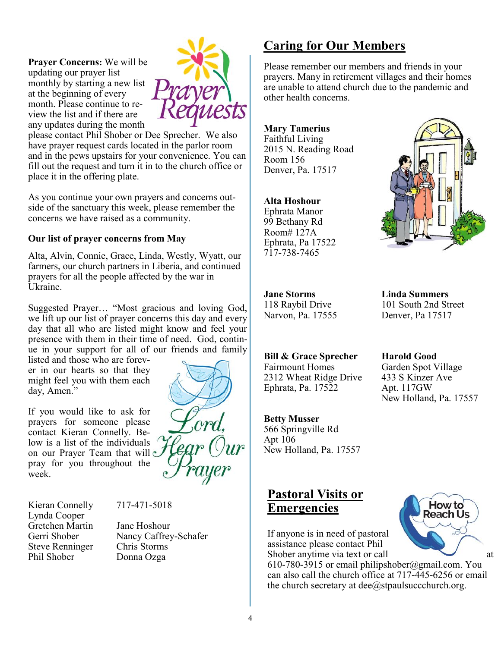**Prayer Concerns:** We will be updating our prayer list monthly by starting a new list at the beginning of every month. Please continue to review the list and if there are any updates during the month



please contact Phil Shober or Dee Sprecher. We also have prayer request cards located in the parlor room and in the pews upstairs for your convenience. You can fill out the request and turn it in to the church office or place it in the offering plate.

As you continue your own prayers and concerns outside of the sanctuary this week, please remember the concerns we have raised as a community.

#### **Our list of prayer concerns from May**

Alta, Alvin, Connie, Grace, Linda, Westly, Wyatt, our farmers, our church partners in Liberia, and continued prayers for all the people affected by the war in Ukraine.

Suggested Prayer… "Most gracious and loving God, we lift up our list of prayer concerns this day and every day that all who are listed might know and feel your presence with them in their time of need. God, continue in your support for all of our friends and family

listed and those who are forever in our hearts so that they might feel you with them each day, Amen."

If you would like to ask for prayers for someone please contact Kieran Connelly. Below is a list of the individuals on our Prayer Team that will pray for you throughout the week.



Kieran Connelly 717-471-5018 Lynda Cooper Gretchen Martin Jane Hoshour Steve Renninger Chris Storms Phil Shober Donna Ozga

Gerri Shober Nancy Caffrey-Schafer

# **Caring for Our Members**

Please remember our members and friends in your prayers. Many in retirement villages and their homes are unable to attend church due to the pandemic and other health concerns.

**Mary Tamerius** Faithful Living 2015 N. Reading Road Room 156 Denver, Pa. 17517

#### **Alta Hoshour**

Ephrata Manor 99 Bethany Rd Room# 127A Ephrata, Pa 17522 717-738-7465



**Jane Storms Linda Summers**

118 Raybil Drive 101 South 2nd Street Narvon, Pa. 17555 Denver, Pa 17517

**Bill & Grace Sprecher Harold Good** Fairmount Homes Garden Spot Village 2312 Wheat Ridge Drive 433 S Kinzer Ave Ephrata, Pa. 17522 Apt. 117GW New Holland, Pa. 17557

566 Springville Rd Apt 106 New Holland, Pa. 17557

**Betty Musser**

## **Pastoral Visits or Emergencies**

If anyone is in need of pastoral assistance please contact Phil Shober anytime via text or call at

610-780-3915 or email philipshober@gmail.com. You can also call the church office at 717-445-6256 or email the church secretary at  $\text{dee}(\hat{a})$ stpaulsuccchurch.org.

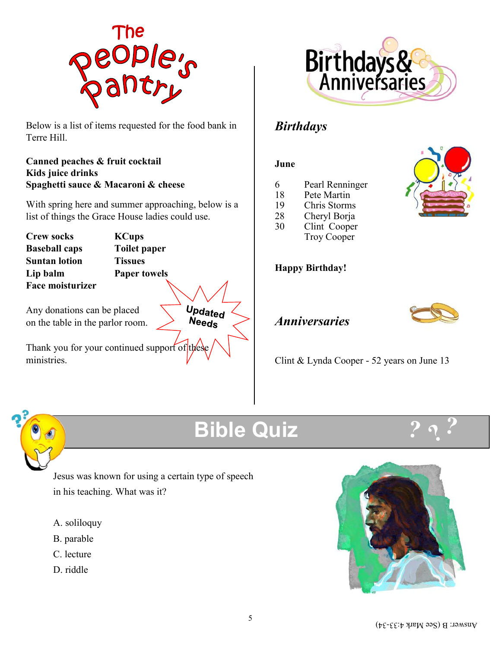

Below is a list of items requested for the food bank in Terre Hill.

#### **Canned peaches & fruit cocktail Kids juice drinks Spaghetti sauce & Macaroni & cheese**

With spring here and summer approaching, below is a list of things the Grace House ladies could use.

**Crew socks KCups Baseball caps Toilet paper Suntan lotion Tissues Lip balm Paper towels Face moisturizer**

Any donations can be placed on the table in the parlor room.

Thank you for your continued support of these ministries.



# *Birthdays*

#### **June**

- 6 Pearl Renninger
- 18 Pete Martin
- 19 Chris Storms
- 28 Cheryl Borja
- 30 Clint Cooper Troy Cooper

#### **Happy Birthday!**



# *Anniversaries*

Clint & Lynda Cooper - 52 years on June 13



# **Bible Quiz**

**Updated** Needs



Jesus was known for using a certain type of speech in his teaching. What was it?

- A. soliloquy
- B. parable
- C. lecture
- D. riddle



![](_page_4_Picture_29.jpeg)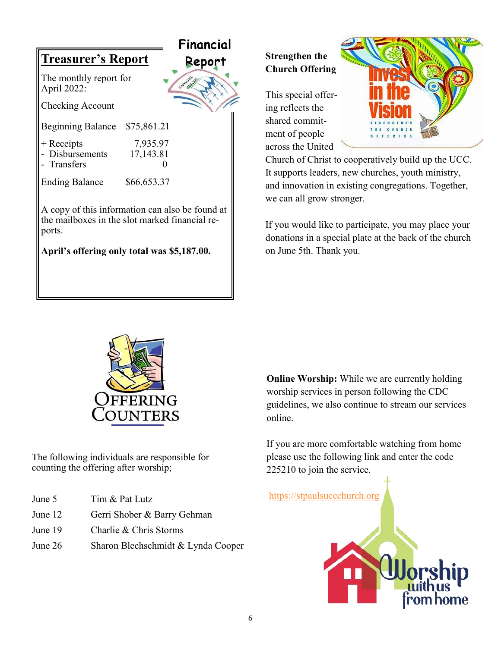![](_page_5_Picture_0.jpeg)

# **Strengthen the Church Offering**

This special offering reflects the shared commitment of people across the United

![](_page_5_Picture_3.jpeg)

Church of Christ to cooperatively build up the UCC. It supports leaders, new churches, youth ministry, and innovation in existing congregations. Together, we can all grow stronger.

If you would like to participate, you may place your donations in a special plate at the back of the church on June 5th. Thank you.

![](_page_5_Picture_6.jpeg)

The following individuals are responsible for counting the offering after worship;

- June 5 Tim & Pat Lutz
- June 12 Gerri Shober & Barry Gehman
- June 19 Charlie & Chris Storms
- June 26 Sharon Blechschmidt & Lynda Cooper

**Online Worship:** While we are currently holding worship services in person following the CDC guidelines, we also continue to stream our services online.

If you are more comfortable watching from home please use the following link and enter the code 225210 to join the service.

![](_page_5_Picture_14.jpeg)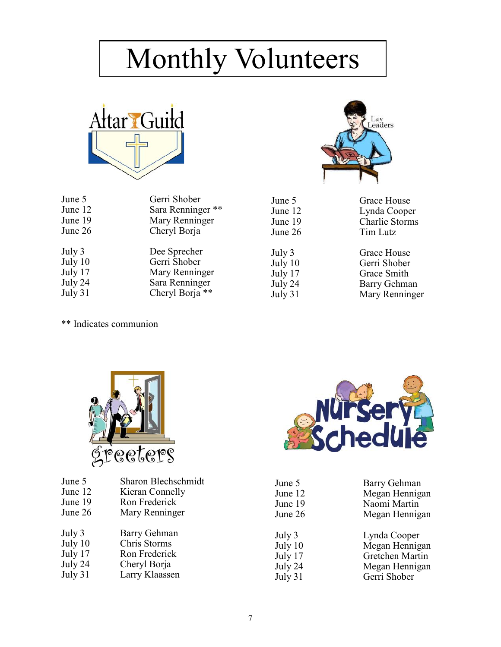# Monthly Volunteers

![](_page_6_Picture_1.jpeg)

| June 5  | Gerri Shober      |
|---------|-------------------|
| June 12 | Sara Renninger ** |
| June 19 | Mary Renninger    |
| June 26 | Cheryl Borja      |
| July 3  | Dee Sprecher      |
| July 10 | Gerri Shober      |
| July 17 | Mary Renninger    |
| July 24 | Sara Renninger    |
| July 31 | Cheryl Borja **   |

![](_page_6_Picture_3.jpeg)

June 5 Grace House June 12 Lynda Cooper<br>June 19 Charlie Storms Charlie Storms June 26 Tim Lutz

July 3 Grace House July 10 Gerri Shober<br>July 17 Grace Smith July 17 Grace Smith<br>July 24 Barry Gehma July 24 Barry Gehman<br>July 31 Mary Renninge Mary Renninger

\*\* Indicates communion

![](_page_6_Picture_7.jpeg)

| June 5  | Sharon Blechschmidt |
|---------|---------------------|
| June 12 | Kieran Connelly     |
| June 19 | Ron Frederick       |
| June 26 | Mary Renninger      |
| July 3  | Barry Gehman        |
| July 10 | Chris Storms        |
| July 17 | Ron Frederick       |
| July 24 | Cheryl Borja        |
| July 31 | Larry Klaassen      |
|         |                     |

![](_page_6_Picture_9.jpeg)

| June 5  | Barry Gehman    |
|---------|-----------------|
| June 12 | Megan Hennigan  |
| June 19 | Naomi Martin    |
| June 26 | Megan Hennigan  |
| July 3  | Lynda Cooper    |
| July 10 | Megan Hennigan  |
| July 17 | Gretchen Martin |
| July 24 | Megan Hennigan  |
| July 31 | Gerri Shober    |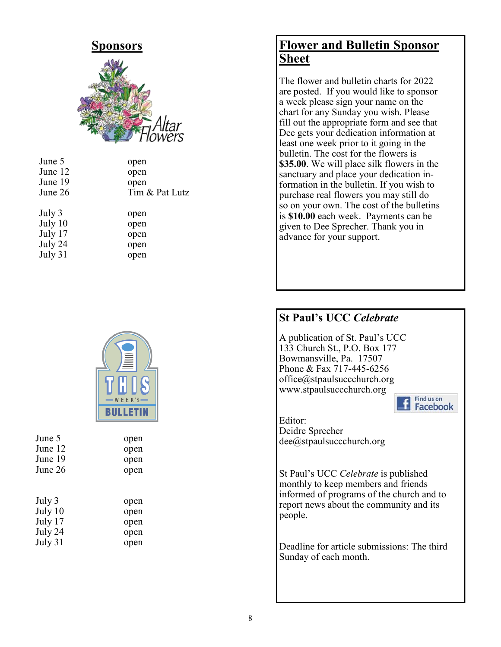![](_page_7_Picture_0.jpeg)

| June 5  | open           |
|---------|----------------|
| June 12 | open           |
| June 19 | open           |
| June 26 | Tim & Pat Lutz |
| July 3  | open           |
| July 10 | open           |
| July 17 | open           |
| July 24 | open           |
| July 31 | open           |

![](_page_7_Picture_2.jpeg)

| June 5  | open |
|---------|------|
| June 12 | open |
| June 19 | open |
| June 26 | open |
|         |      |
| July 3  | open |
| July 10 | open |
| July 17 | open |
| July 24 | open |
| July 31 | open |

# **Flower and Bulletin Sponsor Sheet**

The flower and bulletin charts for 2022 are posted. If you would like to sponsor a week please sign your name on the chart for any Sunday you wish. Please fill out the appropriate form and see that Dee gets your dedication information at least one week prior to it going in the bulletin. The cost for the flowers is **\$35.00**. We will place silk flowers in the sanctuary and place your dedication information in the bulletin. If you wish to purchase real flowers you may still do so on your own. The cost of the bulletins is **\$10.00** each week. Payments can be given to Dee Sprecher. Thank you in advance for your support.

## **St Paul's UCC** *Celebrate*

A publication of St. Paul's UCC 133 Church St., P.O. Box 177 Bowmansville, Pa. 17507 Phone & Fax 717-445-6256 office@stpaulsuccchurch.org www.stpaulsuccchurch.org

![](_page_7_Picture_8.jpeg)

Editor: Deidre Sprecher dee@stpaulsuccchurch.org

St Paul's UCC *Celebrate* is published monthly to keep members and friends informed of programs of the church and to report news about the community and its people.

Deadline for article submissions: The third Sunday of each month.